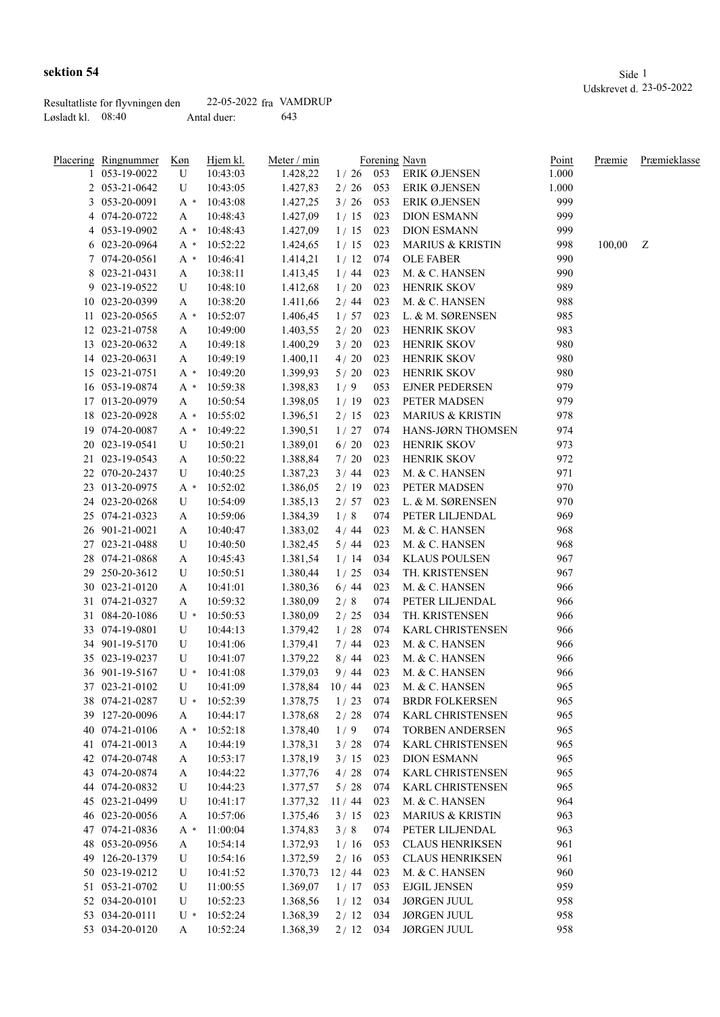|                     | Resultatliste for flyvningen den | 22-05-2022 fra VAMDRUP |     |
|---------------------|----------------------------------|------------------------|-----|
| Løsladt kl. – 08:40 |                                  | Antal duer:            | 643 |

|   | Placering Ringnummer | Køn   | <u>Hjem kl.</u> | Meter / min |            |     | Forening Navn               | Point | Præmie | Præmieklasse |
|---|----------------------|-------|-----------------|-------------|------------|-----|-----------------------------|-------|--------|--------------|
|   | 053-19-0022          | U     | 10:43:03        | 1.428,22    | 1/26       | 053 | ERIK Ø.JENSEN               | 1.000 |        |              |
|   | 2 053-21-0642        | U     | 10:43:05        | 1.427,83    | 2/26       | 053 | <b>ERIK Ø.JENSEN</b>        | 1.000 |        |              |
|   | 3 053-20-0091        | A *   | 10:43:08        | 1.427,25    | 3/26       | 053 | ERIK Ø.JENSEN               | 999   |        |              |
|   | 4 074-20-0722        | A     | 10:48:43        | 1.427,09    | 1/15       | 023 | <b>DION ESMANN</b>          | 999   |        |              |
| 4 | 053-19-0902          | A *   | 10:48:43        | 1.427,09    | 1/15       | 023 | <b>DION ESMANN</b>          | 999   |        |              |
|   | 6 023-20-0964        | A *   | 10:52:22        | 1.424,65    | 1/15       | 023 | <b>MARIUS &amp; KRISTIN</b> | 998   | 100,00 | Z            |
|   | 7 074-20-0561        | A *   | 10:46:41        | 1.414,21    | 1/12       | 074 | <b>OLE FABER</b>            | 990   |        |              |
|   | 8 023-21-0431        | A     | 10:38:11        | 1.413,45    | 1/44       | 023 | M. & C. HANSEN              | 990   |        |              |
|   | 9 023-19-0522        | U     | 10:48:10        | 1.412,68    | 1/20       | 023 | <b>HENRIK SKOV</b>          | 989   |        |              |
|   | 10 023-20-0399       | A     | 10:38:20        | 1.411,66    | 2/44       | 023 | M. & C. HANSEN              | 988   |        |              |
|   | 11 023-20-0565       | A *   | 10:52:07        | 1.406,45    | 1/57       | 023 | L. & M. SØRENSEN            | 985   |        |              |
|   | 12 023-21-0758       | A     | 10:49:00        | 1.403,55    | $2/20$     | 023 | <b>HENRIK SKOV</b>          | 983   |        |              |
|   | 13 023-20-0632       | A     | 10:49:18        | 1.400,29    | 3/20       | 023 | <b>HENRIK SKOV</b>          | 980   |        |              |
|   | 14 023-20-0631       | A     | 10:49:19        | 1.400,11    | 4/20       | 023 | <b>HENRIK SKOV</b>          | 980   |        |              |
|   | 15 023-21-0751       | A *   | 10:49:20        | 1.399,93    | $5/20$     | 023 | <b>HENRIK SKOV</b>          | 980   |        |              |
|   | 16 053-19-0874       | A *   | 10:59:38        | 1.398,83    | 1/9        | 053 | <b>EJNER PEDERSEN</b>       | 979   |        |              |
|   | 17 013-20-0979       | A     | 10:50:54        | 1.398,05    | 1/19       | 023 | PETER MADSEN                | 979   |        |              |
|   | 18 023-20-0928       | $A^*$ | 10:55:02        | 1.396,51    | 2/15       | 023 | <b>MARIUS &amp; KRISTIN</b> | 978   |        |              |
|   | 19 074-20-0087       |       | 10:49:22        |             |            | 074 | HANS-JØRN THOMSEN           | 974   |        |              |
|   | 20 023-19-0541       | A *   |                 | 1.390,51    | 1/27       |     |                             |       |        |              |
|   |                      | U     | 10:50:21        | 1.389,01    | $6/20$     | 023 | HENRIK SKOV                 | 973   |        |              |
|   | 21 023-19-0543       | A     | 10:50:22        | 1.388,84    | 7/20       | 023 | HENRIK SKOV                 | 972   |        |              |
|   | 22 070-20-2437       | U     | 10:40:25        | 1.387,23    | 3/44       | 023 | M. & C. HANSEN              | 971   |        |              |
|   | 23 013-20-0975       | A *   | 10:52:02        | 1.386,05    | 2/19       | 023 | PETER MADSEN                | 970   |        |              |
|   | 24 023-20-0268       | U     | 10:54:09        | 1.385,13    | 2/57       | 023 | L. & M. SØRENSEN            | 970   |        |              |
|   | 25 074-21-0323       | A     | 10:59:06        | 1.384,39    | 1/8        | 074 | PETER LILJENDAL             | 969   |        |              |
|   | 26 901-21-0021       | A     | 10:40:47        | 1.383,02    | 4/44       | 023 | M. & C. HANSEN              | 968   |        |              |
|   | 27 023-21-0488       | U     | 10:40:50        | 1.382,45    | 5/44       | 023 | M. & C. HANSEN              | 968   |        |              |
|   | 28 074-21-0868       | A     | 10:45:43        | 1.381,54    | 1/14       | 034 | <b>KLAUS POULSEN</b>        | 967   |        |              |
|   | 29 250-20-3612       | U     | 10:50:51        | 1.380,44    | 1/25       | 034 | TH. KRISTENSEN              | 967   |        |              |
|   | 30 023-21-0120       | A     | 10:41:01        | 1.380,36    | 6/44       | 023 | M. & C. HANSEN              | 966   |        |              |
|   | 31 074-21-0327       | A     | 10:59:32        | 1.380,09    | 2/8        | 074 | PETER LILJENDAL             | 966   |        |              |
|   | 31 084-20-1086       | U *   | 10:50:53        | 1.380,09    | 2/25       | 034 | TH. KRISTENSEN              | 966   |        |              |
|   | 33 074-19-0801       | U     | 10:44:13        | 1.379,42    | 1/28       | 074 | KARL CHRISTENSEN            | 966   |        |              |
|   | 34 901-19-5170       | U     | 10:41:06        | 1.379,41    | 7/44       | 023 | M. & C. HANSEN              | 966   |        |              |
|   | 35 023-19-0237       | U     | 10:41:07        | 1.379,22    | 8/44       | 023 | M. & C. HANSEN              | 966   |        |              |
|   | 36 901-19-5167       | $U^*$ | 10:41:08        | 1.379,03    | 9/44       | 023 | M. & C. HANSEN              | 966   |        |              |
|   | 37 023-21-0102       | U     | 10:41:09        | 1.378,84    | 10/44      | 023 | M. & C. HANSEN              | 965   |        |              |
|   | 38 074-21-0287       | U *   | 10:52:39        | 1.378,75    | 1/23       | 074 | <b>BRDR FOLKERSEN</b>       | 965   |        |              |
|   | 39 127-20-0096       | A     | 10:44:17        | 1.378,68    | 2/28       | 074 | KARL CHRISTENSEN            | 965   |        |              |
|   | 40 074-21-0106       | $A^*$ | 10:52:18        | 1.378,40    | 1/9        | 074 | <b>TORBEN ANDERSEN</b>      | 965   |        |              |
|   | 41 074-21-0013       | A     | 10:44:19        | 1.378,31    | 3/28       | 074 | <b>KARL CHRISTENSEN</b>     | 965   |        |              |
|   | 42 074-20-0748       | A     | 10:53:17        | 1.378,19    | 3/15       | 023 | <b>DION ESMANN</b>          | 965   |        |              |
|   | 43 074-20-0874       | A     | 10:44:22        | 1.377,76    | 4/28       | 074 | <b>KARL CHRISTENSEN</b>     | 965   |        |              |
|   | 44 074-20-0832       | U     | 10:44:23        | 1.377,57    | 5/28       | 074 | KARL CHRISTENSEN            | 965   |        |              |
|   | 45 023-21-0499       | U     | 10:41:17        | 1.377,32    | 11/44      | 023 | M. & C. HANSEN              | 964   |        |              |
|   | 46 023-20-0056       | A     | 10:57:06        | 1.375,46    | 3/15       | 023 | <b>MARIUS &amp; KRISTIN</b> | 963   |        |              |
|   | 47 074-21-0836       | A *   | 11:00:04        | 1.374,83    | 3/8        | 074 | PETER LILJENDAL             | 963   |        |              |
|   | 48 053-20-0956       | A     | 10:54:14        | 1.372,93    | 1/16       | 053 | <b>CLAUS HENRIKSEN</b>      | 961   |        |              |
|   | 49 126-20-1379       | U     | 10:54:16        | 1.372,59    | 2/16       | 053 | <b>CLAUS HENRIKSEN</b>      | 961   |        |              |
|   | 50 023-19-0212       | U     | 10:41:52        | 1.370,73    | 12/44      | 023 | M. & C. HANSEN              | 960   |        |              |
|   | 51 053-21-0702       | U     | 11:00:55        | 1.369,07    | 1/17       | 053 | <b>EJGIL JENSEN</b>         | 959   |        |              |
|   | 52 034-20-0101       | U     | 10:52:23        | 1.368,56    |            | 034 | <b>JØRGEN JUUL</b>          | 958   |        |              |
|   | 53 034-20-0111       | U *   | 10:52:24        |             | 1/12       |     | <b>JØRGEN JUUL</b>          | 958   |        |              |
|   |                      |       |                 | 1.368,39    | $2/12$ 034 |     |                             |       |        |              |

034-20-0120 A 10:52:24 1.368,39 2 / 12 034 JØRGEN JUUL 958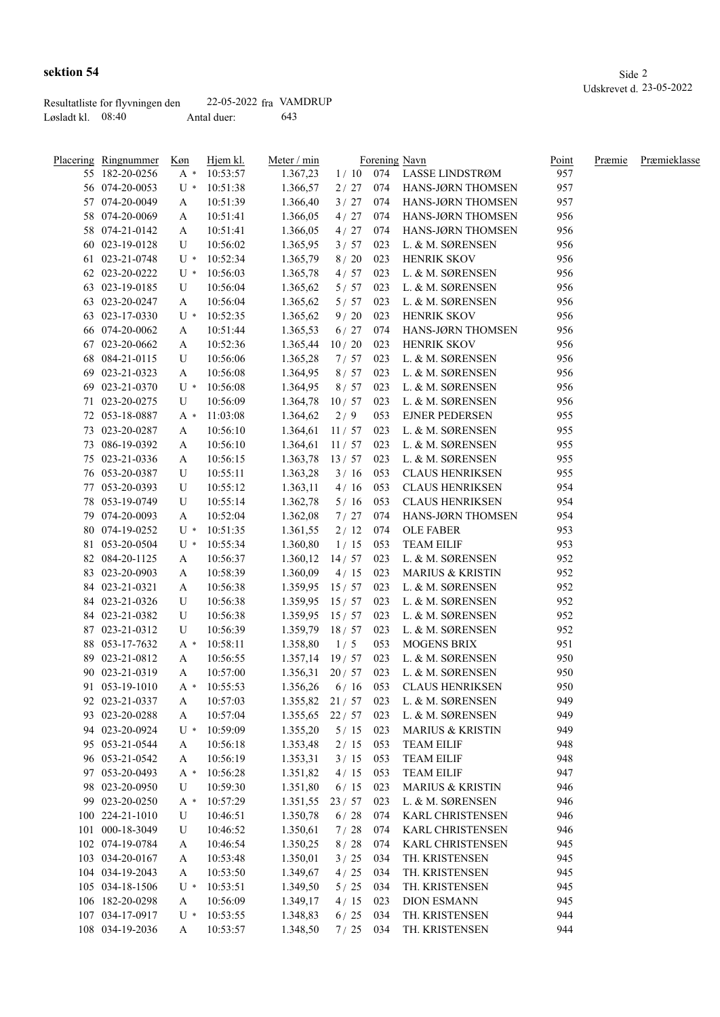|                     | Resultatliste for flyvningen den | 22-05-2022 fra VAMDRUP |     |
|---------------------|----------------------------------|------------------------|-----|
| Løsladt kl. $08:40$ |                                  | Antal duer:            | 643 |

|    | Placering Ringnummer | Køn    | Hjem kl. | Meter / min      |         |     | Forening Navn               | Point | Præmie | Præmieklasse |
|----|----------------------|--------|----------|------------------|---------|-----|-----------------------------|-------|--------|--------------|
|    | 55 182-20-0256       | $A^*$  | 10:53:57 | 1.367,23         | 1/10    |     | 074 LASSE LINDSTRØM         | 957   |        |              |
|    | 56 074-20-0053       | $U^*$  | 10:51:38 | 1.366,57         | 2/27    | 074 | HANS-JØRN THOMSEN           | 957   |        |              |
|    | 57 074-20-0049       | A      | 10:51:39 | 1.366,40         | 3/27    | 074 | HANS-JØRN THOMSEN           | 957   |        |              |
|    | 58 074-20-0069       | A      | 10:51:41 | 1.366,05         | 4/27    | 074 | HANS-JØRN THOMSEN           | 956   |        |              |
|    | 58 074-21-0142       | A      | 10:51:41 | 1.366,05         | 4/27    | 074 | HANS-JØRN THOMSEN           | 956   |        |              |
| 60 | 023-19-0128          | U      | 10:56:02 | 1.365,95         | 3/57    | 023 | L. & M. SØRENSEN            | 956   |        |              |
| 61 | 023-21-0748          | $U^*$  | 10:52:34 | 1.365,79         | $8/20$  | 023 | HENRIK SKOV                 | 956   |        |              |
| 62 | 023-20-0222          | $U^*$  | 10:56:03 | 1.365,78         | 4/57    | 023 | L. & M. SØRENSEN            | 956   |        |              |
| 63 | 023-19-0185          | U      | 10:56:04 | 1.365,62         | 5/57    | 023 | L. & M. SØRENSEN            | 956   |        |              |
| 63 | 023-20-0247          | A      | 10:56:04 | 1.365,62         | 5/57    | 023 | L. & M. SØRENSEN            | 956   |        |              |
| 63 | 023-17-0330          | U *    | 10:52:35 | 1.365,62         | 9/20    | 023 | HENRIK SKOV                 | 956   |        |              |
|    | 66 074-20-0062       | A      | 10:51:44 | 1.365,53         | 6/27    | 074 | HANS-JØRN THOMSEN           | 956   |        |              |
| 67 | 023-20-0662          | A      | 10:52:36 | 1.365,44         | 10/20   | 023 | <b>HENRIK SKOV</b>          | 956   |        |              |
| 68 | 084-21-0115          | U      | 10:56:06 | 1.365,28         | 7/57    | 023 | L. & M. SØRENSEN            | 956   |        |              |
| 69 | 023-21-0323          | A      | 10:56:08 | 1.364,95         | 8/57    | 023 | L. & M. SØRENSEN            | 956   |        |              |
| 69 | 023-21-0370          | $U^*$  | 10:56:08 | 1.364,95         | 8/57    | 023 | L. & M. SØRENSEN            | 956   |        |              |
| 71 | 023-20-0275          | U      | 10:56:09 | 1.364,78         | 10/57   | 023 | L. & M. SØRENSEN            | 956   |        |              |
| 72 | 053-18-0887          | A *    | 11:03:08 | 1.364,62         | 2/9     | 053 | <b>EJNER PEDERSEN</b>       | 955   |        |              |
| 73 | 023-20-0287          | A      | 10:56:10 | 1.364,61         | 11/57   | 023 | L. & M. SØRENSEN            | 955   |        |              |
| 73 | 086-19-0392          | A      | 10:56:10 | 1.364,61         | 11/57   | 023 | L. & M. SØRENSEN            | 955   |        |              |
|    | 023-21-0336          |        |          |                  |         | 023 |                             | 955   |        |              |
| 75 | 053-20-0387          | A<br>U | 10:56:15 | 1.363,78         | 13/57   | 053 | L. & M. SØRENSEN            | 955   |        |              |
| 76 |                      |        | 10:55:11 | 1.363,28         | 3/16    |     | <b>CLAUS HENRIKSEN</b>      |       |        |              |
| 77 | 053-20-0393          | U      | 10:55:12 | 1.363,11         | 4/16    | 053 | <b>CLAUS HENRIKSEN</b>      | 954   |        |              |
| 78 | 053-19-0749          | U      | 10:55:14 | 1.362,78         | 5/16    | 053 | <b>CLAUS HENRIKSEN</b>      | 954   |        |              |
|    | 79 074-20-0093       | A      | 10:52:04 | 1.362,08         | 7/27    | 074 | HANS-JØRN THOMSEN           | 954   |        |              |
|    | 80 074-19-0252       | $U^*$  | 10:51:35 | 1.361,55         | 2/12    | 074 | <b>OLE FABER</b>            | 953   |        |              |
| 81 | 053-20-0504          | $U^*$  | 10:55:34 | 1.360,80         | 1/15    | 053 | <b>TEAM EILIF</b>           | 953   |        |              |
|    | 82 084-20-1125       | A      | 10:56:37 | 1.360,12         | 14/57   | 023 | L. & M. SØRENSEN            | 952   |        |              |
|    | 83 023-20-0903       | A      | 10:58:39 | 1.360,09         | 4/15    | 023 | <b>MARIUS &amp; KRISTIN</b> | 952   |        |              |
|    | 84 023-21-0321       | A      | 10:56:38 | 1.359,95         | 15/57   | 023 | L. & M. SØRENSEN            | 952   |        |              |
|    | 84 023-21-0326       | U      | 10:56:38 | 1.359,95         | 15/57   | 023 | L. & M. SØRENSEN            | 952   |        |              |
|    | 84 023-21-0382       | U      | 10:56:38 | 1.359,95 15 / 57 |         | 023 | L. & M. SØRENSEN            | 952   |        |              |
| 87 | 023-21-0312          | U      | 10:56:39 | 1.359,79         | 18/57   | 023 | L. & M. SØRENSEN            | 952   |        |              |
|    | 88 053-17-7632       | $A^*$  | 10:58:11 | 1.358,80         | 1/5     | 053 | <b>MOGENS BRIX</b>          | 951   |        |              |
| 89 | 023-21-0812          | A      | 10:56:55 | 1.357,14         | 19/57   | 023 | L. & M. SØRENSEN            | 950   |        |              |
|    | 90 023-21-0319       | A      | 10:57:00 | 1.356,31         | 20/57   | 023 | L. & M. SØRENSEN            | 950   |        |              |
|    | 91 053-19-1010       | A *    | 10:55:53 | 1.356,26         | 6/16    | 053 | <b>CLAUS HENRIKSEN</b>      | 950   |        |              |
|    | 92 023-21-0337       | A      | 10:57:03 | $1.355,82$ 21/57 |         | 023 | L. & M. SØRENSEN            | 949   |        |              |
|    | 93 023-20-0288       | A      | 10:57:04 | 1.355,65         | 22 / 57 | 023 | L. & M. SØRENSEN            | 949   |        |              |
|    | 94 023-20-0924       | $U^*$  | 10:59:09 | 1.355,20         | 5/15    | 023 | <b>MARIUS &amp; KRISTIN</b> | 949   |        |              |
|    | 95 053-21-0544       | A      | 10:56:18 | 1.353,48         | 2/15    | 053 | <b>TEAM EILIF</b>           | 948   |        |              |
|    | 96 053-21-0542       | A      | 10:56:19 | 1.353,31         | 3/15    | 053 | <b>TEAM EILIF</b>           | 948   |        |              |
|    | 97 053-20-0493       | A *    | 10:56:28 | 1.351,82         | 4/15    | 053 | <b>TEAM EILIF</b>           | 947   |        |              |
|    | 98 023-20-0950       | U      | 10:59:30 | 1.351,80         | 6/15    | 023 | <b>MARIUS &amp; KRISTIN</b> | 946   |        |              |
|    | 99 023-20-0250       | A *    | 10:57:29 | 1.351,55         | 23 / 57 | 023 | L. & M. SØRENSEN            | 946   |        |              |
|    | 100 224-21-1010      | U      | 10:46:51 | 1.350,78         | 6/28    | 074 | KARL CHRISTENSEN            | 946   |        |              |
|    | 101 000-18-3049      | U      | 10:46:52 | 1.350,61         | 7/28    | 074 | KARL CHRISTENSEN            | 946   |        |              |
|    | 102 074-19-0784      | A      | 10:46:54 | 1.350,25         | $8/28$  | 074 | KARL CHRISTENSEN            | 945   |        |              |
|    | 103 034-20-0167      | A      | 10:53:48 | 1.350,01         | 3/25    | 034 | TH. KRISTENSEN              | 945   |        |              |
|    | 104 034-19-2043      | A      | 10:53:50 | 1.349,67         | 4 / 25  | 034 | TH. KRISTENSEN              | 945   |        |              |
|    | 105 034-18-1506      | $U^*$  | 10:53:51 | 1.349,50         | $5/25$  | 034 | TH. KRISTENSEN              | 945   |        |              |
|    | 106 182-20-0298      |        | 10:56:09 |                  |         | 023 | <b>DION ESMANN</b>          | 945   |        |              |
|    |                      | A      |          | 1.349,17         | 4/15    |     |                             | 944   |        |              |
|    | 107 034-17-0917      | $U^*$  | 10:53:55 | 1.348,83         | $6/25$  | 034 | TH. KRISTENSEN              |       |        |              |
|    | 108 034-19-2036      | A      | 10:53:57 | 1.348,50         | 7/25    | 034 | TH. KRISTENSEN              | 944   |        |              |